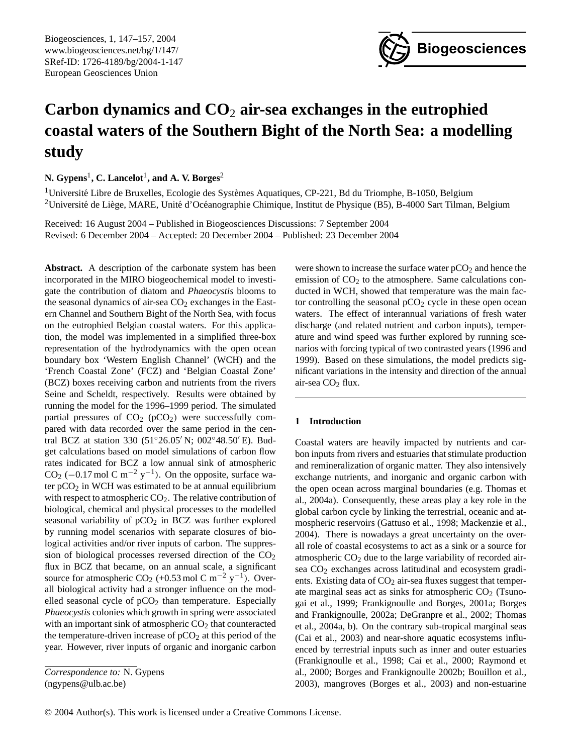Biogeosciences, 1, 147[–157,](#page-0-0) 2004 www.biogeosciences.net/bg/1/147/ SRef-ID: 1726-4189/bg/2004-1-147 European Geosciences Union



# **Carbon dynamics and CO**<sup>2</sup> **air-sea exchanges in the eutrophied coastal waters of the Southern Bight of the North Sea: a modelling study**

**N. Gypens**<sup>1</sup> **, C. Lancelot**<sup>1</sup> **, and A. V. Borges**<sup>2</sup>

 $1$ Université Libre de Bruxelles, Ecologie des Systèmes Aquatiques, CP-221, Bd du Triomphe, B-1050, Belgium <sup>2</sup>Université de Liège, MARE, Unité d'Océanographie Chimique, Institut de Physique (B5), B-4000 Sart Tilman, Belgium

Received: 16 August 2004 – Published in Biogeosciences Discussions: 7 September 2004 Revised: 6 December 2004 – Accepted: 20 December 2004 – Published: 23 December 2004

**Abstract.** A description of the carbonate system has been incorporated in the MIRO biogeochemical model to investigate the contribution of diatom and *Phaeocystis* blooms to the seasonal dynamics of air-sea  $CO<sub>2</sub>$  exchanges in the Eastern Channel and Southern Bight of the North Sea, with focus on the eutrophied Belgian coastal waters. For this application, the model was implemented in a simplified three-box representation of the hydrodynamics with the open ocean boundary box 'Western English Channel' (WCH) and the 'French Coastal Zone' (FCZ) and 'Belgian Coastal Zone' (BCZ) boxes receiving carbon and nutrients from the rivers Seine and Scheldt, respectively. Results were obtained by running the model for the 1996–1999 period. The simulated partial pressures of  $CO<sub>2</sub>$  (pCO<sub>2</sub>) were successfully compared with data recorded over the same period in the central BCZ at station 330 (51°26.05' N; 002°48.50' E). Budget calculations based on model simulations of carbon flow rates indicated for BCZ a low annual sink of atmospheric CO<sub>2</sub> (-0.17 mol C m<sup>-2</sup> y<sup>-1</sup>). On the opposite, surface water  $pCO<sub>2</sub>$  in WCH was estimated to be at annual equilibrium with respect to atmospheric  $CO<sub>2</sub>$ . The relative contribution of biological, chemical and physical processes to the modelled seasonal variability of  $pCO<sub>2</sub>$  in BCZ was further explored by running model scenarios with separate closures of biological activities and/or river inputs of carbon. The suppression of biological processes reversed direction of the  $CO<sub>2</sub>$ flux in BCZ that became, on an annual scale, a significant source for atmospheric CO<sub>2</sub> (+0.53 mol C m<sup>-2</sup> y<sup>-1</sup>). Overall biological activity had a stronger influence on the modelled seasonal cycle of  $pCO<sub>2</sub>$  than temperature. Especially *Phaeocystis* colonies which growth in spring were associated with an important sink of atmospheric  $CO<sub>2</sub>$  that counteracted the temperature-driven increase of  $pCO<sub>2</sub>$  at this period of the year. However, river inputs of organic and inorganic carbon

<span id="page-0-0"></span>*Correspondence to:* N. Gypens (ngypens@ulb.ac.be)

were shown to increase the surface water  $pCO<sub>2</sub>$  and hence the emission of  $CO<sub>2</sub>$  to the atmosphere. Same calculations conducted in WCH, showed that temperature was the main factor controlling the seasonal  $pCO<sub>2</sub>$  cycle in these open ocean waters. The effect of interannual variations of fresh water discharge (and related nutrient and carbon inputs), temperature and wind speed was further explored by running scenarios with forcing typical of two contrasted years (1996 and 1999). Based on these simulations, the model predicts significant variations in the intensity and direction of the annual air-sea  $CO<sub>2</sub>$  flux.

## **1 Introduction**

Coastal waters are heavily impacted by nutrients and carbon inputs from rivers and estuaries that stimulate production and remineralization of organic matter. They also intensively exchange nutrients, and inorganic and organic carbon with the open ocean across marginal boundaries (e.g. Thomas et al., 2004a). Consequently, these areas play a key role in the global carbon cycle by linking the terrestrial, oceanic and atmospheric reservoirs (Gattuso et al., 1998; Mackenzie et al., 2004). There is nowadays a great uncertainty on the overall role of coastal ecosystems to act as a sink or a source for atmospheric  $CO<sub>2</sub>$  due to the large variability of recorded airsea  $CO<sub>2</sub>$  exchanges across latitudinal and ecosystem gradients. Existing data of  $CO<sub>2</sub>$  air-sea fluxes suggest that temperate marginal seas act as sinks for atmospheric  $CO<sub>2</sub>$  (Tsunogai et al., 1999; Frankignoulle and Borges, 2001a; Borges and Frankignoulle, 2002a; DeGranpre et al., 2002; Thomas et al., 2004a, b). On the contrary sub-tropical marginal seas (Cai et al., 2003) and near-shore aquatic ecosystems influenced by terrestrial inputs such as inner and outer estuaries (Frankignoulle et al., 1998; Cai et al., 2000; Raymond et al., 2000; Borges and Frankignoulle 2002b; Bouillon et al., 2003), mangroves (Borges et al., 2003) and non-estuarine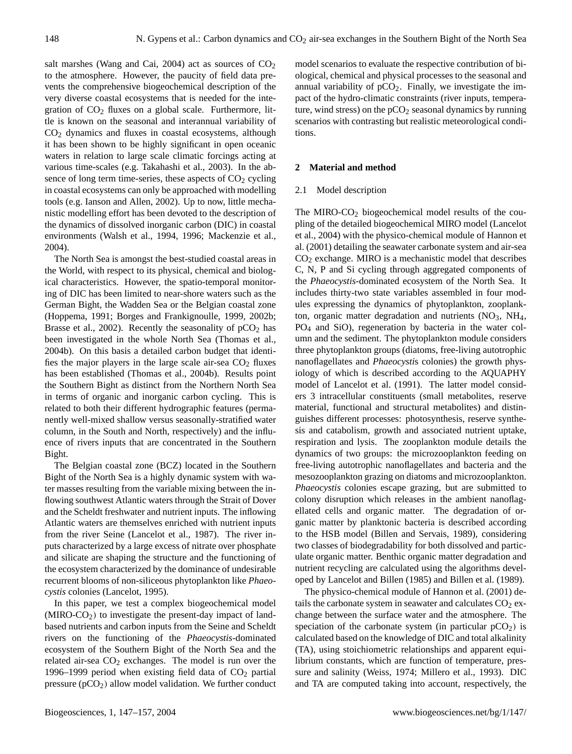salt marshes (Wang and Cai, 2004) act as sources of  $CO<sub>2</sub>$ to the atmosphere. However, the paucity of field data prevents the comprehensive biogeochemical description of the very diverse coastal ecosystems that is needed for the integration of  $CO<sub>2</sub>$  fluxes on a global scale. Furthermore, little is known on the seasonal and interannual variability of CO<sup>2</sup> dynamics and fluxes in coastal ecosystems, although it has been shown to be highly significant in open oceanic waters in relation to large scale climatic forcings acting at various time-scales (e.g. Takahashi et al., 2003). In the absence of long term time-series, these aspects of  $CO<sub>2</sub>$  cycling in coastal ecosystems can only be approached with modelling tools (e.g. Ianson and Allen, 2002). Up to now, little mechanistic modelling effort has been devoted to the description of the dynamics of dissolved inorganic carbon (DIC) in coastal environments (Walsh et al., 1994, 1996; Mackenzie et al., 2004).

The North Sea is amongst the best-studied coastal areas in the World, with respect to its physical, chemical and biological characteristics. However, the spatio-temporal monitoring of DIC has been limited to near-shore waters such as the German Bight, the Wadden Sea or the Belgian coastal zone (Hoppema, 1991; Borges and Frankignoulle, 1999, 2002b; Brasse et al., 2002). Recently the seasonality of  $pCO<sub>2</sub>$  has been investigated in the whole North Sea (Thomas et al., 2004b). On this basis a detailed carbon budget that identifies the major players in the large scale air-sea  $CO<sub>2</sub>$  fluxes has been established (Thomas et al., 2004b). Results point the Southern Bight as distinct from the Northern North Sea in terms of organic and inorganic carbon cycling. This is related to both their different hydrographic features (permanently well-mixed shallow versus seasonally-stratified water column, in the South and North, respectively) and the influence of rivers inputs that are concentrated in the Southern Bight.

The Belgian coastal zone (BCZ) located in the Southern Bight of the North Sea is a highly dynamic system with water masses resulting from the variable mixing between the inflowing southwest Atlantic waters through the Strait of Dover and the Scheldt freshwater and nutrient inputs. The inflowing Atlantic waters are themselves enriched with nutrient inputs from the river Seine (Lancelot et al., 1987). The river inputs characterized by a large excess of nitrate over phosphate and silicate are shaping the structure and the functioning of the ecosystem characterized by the dominance of undesirable recurrent blooms of non-siliceous phytoplankton like *Phaeocystis* colonies (Lancelot, 1995).

In this paper, we test a complex biogeochemical model  $(MIRO-CO<sub>2</sub>)$  to investigate the present-day impact of landbased nutrients and carbon inputs from the Seine and Scheldt rivers on the functioning of the *Phaeocystis*-dominated ecosystem of the Southern Bight of the North Sea and the related air-sea  $CO<sub>2</sub>$  exchanges. The model is run over the 1996–1999 period when existing field data of  $CO<sub>2</sub>$  partial pressure  $(pCO<sub>2</sub>)$  allow model validation. We further conduct model scenarios to evaluate the respective contribution of biological, chemical and physical processes to the seasonal and annual variability of  $pCO<sub>2</sub>$ . Finally, we investigate the impact of the hydro-climatic constraints (river inputs, temperature, wind stress) on the  $pCO<sub>2</sub>$  seasonal dynamics by running scenarios with contrasting but realistic meteorological conditions.

# **2 Material and method**

#### 2.1 Model description

The MIRO- $CO<sub>2</sub>$  biogeochemical model results of the coupling of the detailed biogeochemical MIRO model (Lancelot et al., 2004) with the physico-chemical module of Hannon et al. (2001) detailing the seawater carbonate system and air-sea  $CO<sub>2</sub>$  exchange. MIRO is a mechanistic model that describes C, N, P and Si cycling through aggregated components of the *Phaeocystis*-dominated ecosystem of the North Sea. It includes thirty-two state variables assembled in four modules expressing the dynamics of phytoplankton, zooplankton, organic matter degradation and nutrients  $(NO<sub>3</sub>, NH<sub>4</sub>,$ PO<sup>4</sup> and SiO), regeneration by bacteria in the water column and the sediment. The phytoplankton module considers three phytoplankton groups (diatoms, free-living autotrophic nanoflagellates and *Phaeocysti*s colonies) the growth physiology of which is described according to the AQUAPHY model of Lancelot et al. (1991). The latter model considers 3 intracellular constituents (small metabolites, reserve material, functional and structural metabolites) and distinguishes different processes: photosynthesis, reserve synthesis and catabolism, growth and associated nutrient uptake, respiration and lysis. The zooplankton module details the dynamics of two groups: the microzooplankton feeding on free-living autotrophic nanoflagellates and bacteria and the mesozooplankton grazing on diatoms and microzooplankton. *Phaeocystis* colonies escape grazing, but are submitted to colony disruption which releases in the ambient nanoflagellated cells and organic matter. The degradation of organic matter by planktonic bacteria is described according to the HSB model (Billen and Servais, 1989), considering two classes of biodegradability for both dissolved and particulate organic matter. Benthic organic matter degradation and nutrient recycling are calculated using the algorithms developed by Lancelot and Billen (1985) and Billen et al. (1989).

The physico-chemical module of Hannon et al. (2001) details the carbonate system in seawater and calculates  $CO<sub>2</sub>$  exchange between the surface water and the atmosphere. The speciation of the carbonate system (in particular  $pCO<sub>2</sub>$ ) is calculated based on the knowledge of DIC and total alkalinity (TA), using stoichiometric relationships and apparent equilibrium constants, which are function of temperature, pressure and salinity (Weiss, 1974; Millero et al., 1993). DIC and TA are computed taking into account, respectively, the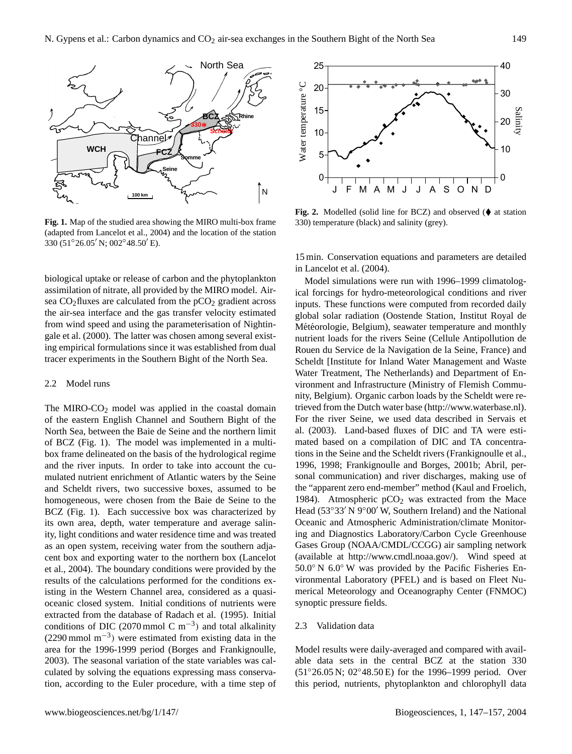

**Fig. 1.** Map of the studied area showing the MIRO multi-box frame (adapted from Lancelot et al., 2004) and the location of the station 330 (51°26.05' N; 002°48.50' E).

biological uptake or release of carbon and the phytoplankton assimilation of nitrate, all provided by the MIRO model. Airsea  $CO<sub>2</sub>$  fluxes are calculated from the  $pCO<sub>2</sub>$  gradient across the air-sea interface and the gas transfer velocity estimated from wind speed and using the parameterisation of Nightingale et al. (2000). The latter was chosen among several existing empirical formulations since it was established from dual tracer experiments in the Southern Bight of the North Sea.

## 2.2 Model runs

The MIRO- $CO<sub>2</sub>$  model was applied in the coastal domain of the eastern English Channel and Southern Bight of the North Sea, between the Baie de Seine and the northern limit of BCZ (Fig. 1). The model was implemented in a multibox frame delineated on the basis of the hydrological regime and the river inputs. In order to take into account the cumulated nutrient enrichment of Atlantic waters by the Seine and Scheldt rivers, two successive boxes, assumed to be homogeneous, were chosen from the Baie de Seine to the BCZ (Fig. 1). Each successive box was characterized by its own area, depth, water temperature and average salinity, light conditions and water residence time and was treated as an open system, receiving water from the southern adjacent box and exporting water to the northern box (Lancelot et al., 2004). The boundary conditions were provided by the results of the calculations performed for the conditions existing in the Western Channel area, considered as a quasioceanic closed system. Initial conditions of nutrients were extracted from the database of Radach et al. (1995). Initial conditions of DIC (2070 mmol C m<sup>-3</sup>) and total alkalinity (2290 mmol m−<sup>3</sup> ) were estimated from existing data in the area for the 1996-1999 period (Borges and Frankignoulle, 2003). The seasonal variation of the state variables was calculated by solving the equations expressing mass conservation, according to the Euler procedure, with a time step of



Fig. 2. Modelled (solid line for BCZ) and observed  $(\blacklozenge$  at station 330) temperature (black) and salinity (grey).

15 min. Conservation equations and parameters are detailed in Lancelot et al. (2004).

Model simulations were run with 1996–1999 climatological forcings for hydro-meteorological conditions and river inputs. These functions were computed from recorded daily global solar radiation (Oostende Station, Institut Royal de Météorologie, Belgium), seawater temperature and monthly nutrient loads for the rivers Seine (Cellule Antipollution de Rouen du Service de la Navigation de la Seine, France) and Scheldt [Institute for Inland Water Management and Waste Water Treatment, The Netherlands) and Department of Environment and Infrastructure (Ministry of Flemish Community, Belgium). Organic carbon loads by the Scheldt were retrieved from the Dutch water base [\(http://www.waterbase.nl\)](http://www.waterbase.nl). For the river Seine, we used data described in Servais et al. (2003). Land-based fluxes of DIC and TA were estimated based on a compilation of DIC and TA concentrations in the Seine and the Scheldt rivers (Frankignoulle et al., 1996, 1998; Frankignoulle and Borges, 2001b; Abril, personal communication) and river discharges, making use of the "apparent zero end-member" method (Kaul and Froelich, 1984). Atmospheric  $pCO<sub>2</sub>$  was extracted from the Mace Head (53°33′ N 9°00′ W, Southern Ireland) and the National Oceanic and Atmospheric Administration/climate Monitoring and Diagnostics Laboratory/Carbon Cycle Greenhouse Gases Group (NOAA/CMDL/CCGG) air sampling network (available at [http://www.cmdl.noaa.gov/\)](http://www.cmdl.noaa.gov/). Wind speed at 50.0◦ N 6.0◦ W was provided by the Pacific Fisheries Environmental Laboratory (PFEL) and is based on Fleet Numerical Meteorology and Oceanography Center (FNMOC) synoptic pressure fields.

# 2.3 Validation data

Model results were daily-averaged and compared with available data sets in the central BCZ at the station 330 (51◦26.05 N; 02◦48.50 E) for the 1996–1999 period. Over this period, nutrients, phytoplankton and chlorophyll data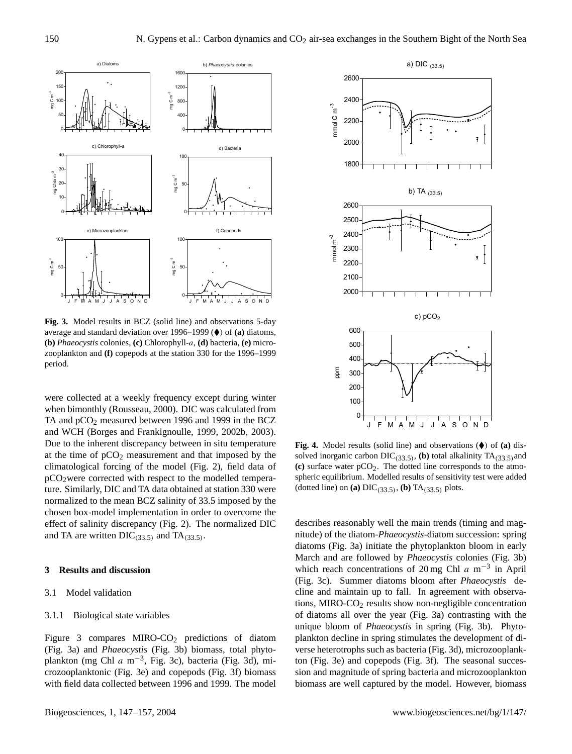

**Fig. 3.** Model results in BCZ (solid line) and observations 5-day average and standard deviation over 1996–1999 ( $\blacklozenge$ ) of (a) diatoms, **(b)** *Phaeocystis* colonies, **(c)** Chlorophyll-a, **(d)** bacteria, **(e)** microzooplankton and **(f)** copepods at the station 330 for the 1996–1999 period.

were collected at a weekly frequency except during winter when bimonthly (Rousseau, 2000). DIC was calculated from TA and pCO<sub>2</sub> measured between 1996 and 1999 in the BCZ and WCH (Borges and Frankignoulle, 1999, 2002b, 2003). Due to the inherent discrepancy between in situ temperature at the time of  $pCO<sub>2</sub>$  measurement and that imposed by the climatological forcing of the model (Fig. 2), field data of pCO2were corrected with respect to the modelled temperature. Similarly, DIC and TA data obtained at station 330 were normalized to the mean BCZ salinity of 33.5 imposed by the chosen box-model implementation in order to overcome the effect of salinity discrepancy (Fig. 2). The normalized DIC and TA are written  $DIC_{(33.5)}$  and TA $_{(33.5)}$ .

# **3 Results and discussion**

# 3.1 Model validation

# 3.1.1 Biological state variables

Figure 3 compares MIRO-CO<sub>2</sub> predictions of diatom (Fig. 3a) and *Phaeocystis* (Fig. 3b) biomass, total phytoplankton (mg Chl  $a$  m<sup>-3</sup>, Fig. 3c), bacteria (Fig. 3d), microzooplanktonic (Fig. 3e) and copepods (Fig. 3f) biomass with field data collected between 1996 and 1999. The model



**Fig. 4.** Model results (solid line) and observations ( $\blacklozenge$ ) of (a) dissolved inorganic carbon  $DIC_{(33.5)}$ , (b) total alkalinity  $TA_{(33.5)}$  and  $(c)$  surface water  $pCO<sub>2</sub>$ . The dotted line corresponds to the atmospheric equilibrium. Modelled results of sensitivity test were added (dotted line) on (a)  $DIC_{(33.5)}$ , (b)  $TA_{(33.5)}$  plots.

describes reasonably well the main trends (timing and magnitude) of the diatom-*Phaeocystis*-diatom succession: spring diatoms (Fig. 3a) initiate the phytoplankton bloom in early March and are followed by *Phaeocystis* colonies (Fig. 3b) which reach concentrations of 20 mg Chl  $a$  m<sup>-3</sup> in April (Fig. 3c). Summer diatoms bloom after *Phaeocystis* decline and maintain up to fall. In agreement with observations, MIRO-CO<sup>2</sup> results show non-negligible concentration of diatoms all over the year (Fig. 3a) contrasting with the unique bloom of *Phaeocystis* in spring (Fig. 3b). Phytoplankton decline in spring stimulates the development of diverse heterotrophs such as bacteria (Fig. 3d), microzooplankton (Fig. 3e) and copepods (Fig. 3f). The seasonal succession and magnitude of spring bacteria and microzooplankton biomass are well captured by the model. However, biomass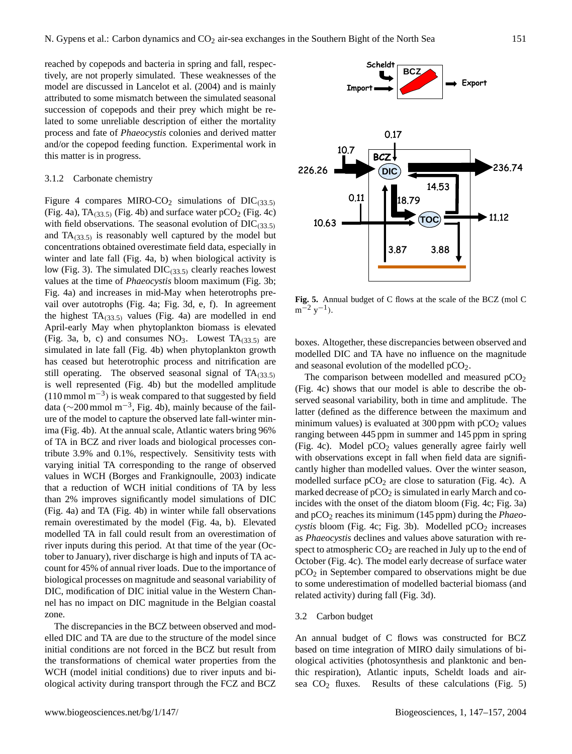reached by copepods and bacteria in spring and fall, respectively, are not properly simulated. These weaknesses of the model are discussed in Lancelot et al. (2004) and is mainly attributed to some mismatch between the simulated seasonal succession of copepods and their prey which might be related to some unreliable description of either the mortality process and fate of *Phaeocystis* colonies and derived matter and/or the copepod feeding function. Experimental work in this matter is in progress.

#### 3.1.2 Carbonate chemistry

Figure 4 compares MIRO-CO<sub>2</sub> simulations of DIC $(33.5)$ (Fig. 4a),  $TA_{(33.5)}$  (Fig. 4b) and surface water  $pCO_2$  (Fig. 4c) with field observations. The seasonal evolution of  $DIC_{(33.5)}$ and  $TA_{(33.5)}$  is reasonably well captured by the model but concentrations obtained overestimate field data, especially in winter and late fall (Fig. 4a, b) when biological activity is low (Fig. 3). The simulated  $DIC_{(33.5)}$  clearly reaches lowest values at the time of *Phaeocystis* bloom maximum (Fig. 3b; Fig. 4a) and increases in mid-May when heterotrophs prevail over autotrophs (Fig. 4a; Fig. 3d, e, f). In agreement the highest  $TA_{(33.5)}$  values (Fig. 4a) are modelled in end April-early May when phytoplankton biomass is elevated (Fig. 3a, b, c) and consumes  $NO<sub>3</sub>$ . Lowest  $TA<sub>(33.5)</sub>$  are simulated in late fall (Fig. 4b) when phytoplankton growth has ceased but heterotrophic process and nitrification are still operating. The observed seasonal signal of  $TA_{(33.5)}$ is well represented (Fig. 4b) but the modelled amplitude  $(110 \text{ mmol m}^{-3})$  is weak compared to that suggested by field data (∼200 mmol m−<sup>3</sup> , Fig. 4b), mainly because of the failure of the model to capture the observed late fall-winter minima (Fig. 4b). At the annual scale, Atlantic waters bring 96% of TA in BCZ and river loads and biological processes contribute 3.9% and 0.1%, respectively. Sensitivity tests with varying initial TA corresponding to the range of observed values in WCH (Borges and Frankignoulle, 2003) indicate that a reduction of WCH initial conditions of TA by less than 2% improves significantly model simulations of DIC (Fig. 4a) and TA (Fig. 4b) in winter while fall observations remain overestimated by the model (Fig. 4a, b). Elevated modelled TA in fall could result from an overestimation of river inputs during this period. At that time of the year (October to January), river discharge is high and inputs of TA account for 45% of annual river loads. Due to the importance of biological processes on magnitude and seasonal variability of DIC, modification of DIC initial value in the Western Channel has no impact on DIC magnitude in the Belgian coastal zone.

The discrepancies in the BCZ between observed and modelled DIC and TA are due to the structure of the model since initial conditions are not forced in the BCZ but result from the transformations of chemical water properties from the WCH (model initial conditions) due to river inputs and biological activity during transport through the FCZ and BCZ



**Fig. 5.** Annual budget of C flows at the scale of the BCZ (mol C  $m^{-2}$  y<sup>-1</sup>).

boxes. Altogether, these discrepancies between observed and modelled DIC and TA have no influence on the magnitude and seasonal evolution of the modelled  $pCO<sub>2</sub>$ .

The comparison between modelled and measured  $pCO<sub>2</sub>$ (Fig. 4c) shows that our model is able to describe the observed seasonal variability, both in time and amplitude. The latter (defined as the difference between the maximum and minimum values) is evaluated at 300 ppm with  $pCO<sub>2</sub>$  values ranging between 445 ppm in summer and 145 ppm in spring (Fig. 4c). Model  $pCO<sub>2</sub>$  values generally agree fairly well with observations except in fall when field data are significantly higher than modelled values. Over the winter season, modelled surface  $pCO<sub>2</sub>$  are close to saturation (Fig. 4c). A marked decrease of  $pCO<sub>2</sub>$  is simulated in early March and coincides with the onset of the diatom bloom (Fig. 4c; Fig. 3a) and  $pCO<sub>2</sub>$  reaches its minimum (145 ppm) during the *Phaeocystis* bloom (Fig. 4c; Fig. 3b). Modelled pCO<sub>2</sub> increases as *Phaeocystis* declines and values above saturation with respect to atmospheric  $CO<sub>2</sub>$  are reached in July up to the end of October (Fig. 4c). The model early decrease of surface water pCO<sup>2</sup> in September compared to observations might be due to some underestimation of modelled bacterial biomass (and related activity) during fall (Fig. 3d).

#### 3.2 Carbon budget

An annual budget of C flows was constructed for BCZ based on time integration of MIRO daily simulations of biological activities (photosynthesis and planktonic and benthic respiration), Atlantic inputs, Scheldt loads and airsea  $CO<sub>2</sub>$  fluxes. Results of these calculations (Fig. 5)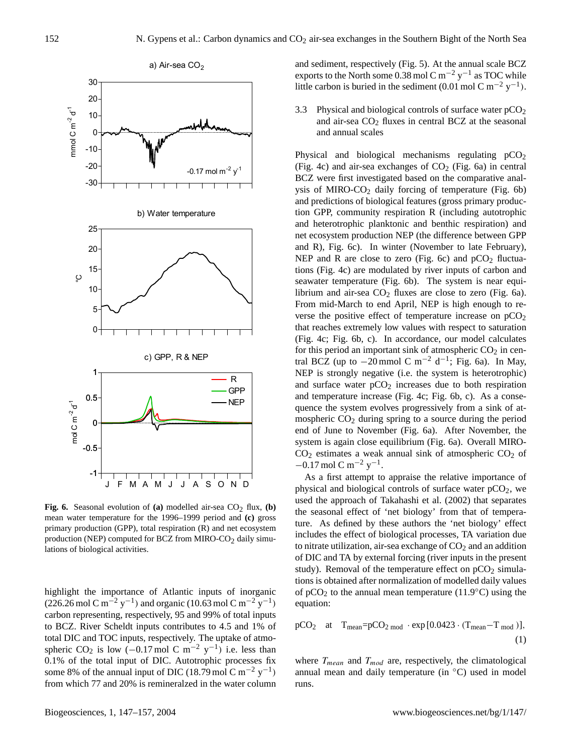

**Fig. 6.** Seasonal evolution of **(a)** modelled air-sea  $CO<sub>2</sub>$  flux, **(b)** mean water temperature for the 1996–1999 period and **(c)** gross primary production (GPP), total respiration (R) and net ecosystem production (NEP) computed for BCZ from MIRO-CO<sub>2</sub> daily simulations of biological activities.

highlight the importance of Atlantic inputs of inorganic  $(226.26 \text{ mol C m}^{-2} \text{ y}^{-1})$  and organic  $(10.63 \text{ mol C m}^{-2} \text{ y}^{-1})$ carbon representing, respectively, 95 and 99% of total inputs to BCZ. River Scheldt inputs contributes to 4.5 and 1% of total DIC and TOC inputs, respectively. The uptake of atmospheric CO<sub>2</sub> is low  $(-0.17 \text{ mol C m}^{-2} \text{ y}^{-1})$  i.e. less than 0.1% of the total input of DIC. Autotrophic processes fix some 8% of the annual input of DIC (18.79 mol C m<sup>-2</sup> y<sup>-1</sup>) from which 77 and 20% is remineralzed in the water column and sediment, respectively (Fig. 5). At the annual scale BCZ exports to the North some 0.38 mol C m<sup>-2</sup> y<sup>-1</sup> as TOC while little carbon is buried in the sediment (0.01 mol C m<sup>-2</sup> y<sup>-1</sup>).

3.3 Physical and biological controls of surface water  $pCO<sub>2</sub>$ and air-sea  $CO<sub>2</sub>$  fluxes in central BCZ at the seasonal and annual scales

Physical and biological mechanisms regulating  $pCO<sub>2</sub>$ (Fig. 4c) and air-sea exchanges of  $CO<sub>2</sub>$  (Fig. 6a) in central BCZ were first investigated based on the comparative analysis of MIRO- $CO<sub>2</sub>$  daily forcing of temperature (Fig. 6b) and predictions of biological features (gross primary production GPP, community respiration R (including autotrophic and heterotrophic planktonic and benthic respiration) and net ecosystem production NEP (the difference between GPP and R), Fig. 6c). In winter (November to late February), NEP and R are close to zero (Fig. 6c) and  $pCO<sub>2</sub>$  fluctuations (Fig. 4c) are modulated by river inputs of carbon and seawater temperature (Fig. 6b). The system is near equilibrium and air-sea  $CO<sub>2</sub>$  fluxes are close to zero (Fig. 6a). From mid-March to end April, NEP is high enough to reverse the positive effect of temperature increase on  $pCO<sub>2</sub>$ that reaches extremely low values with respect to saturation (Fig. 4c; Fig. 6b, c). In accordance, our model calculates for this period an important sink of atmospheric  $CO<sub>2</sub>$  in central BCZ (up to  $-20$  mmol C m<sup>-2</sup> d<sup>-1</sup>; Fig. 6a). In May, NEP is strongly negative (i.e. the system is heterotrophic) and surface water  $pCO<sub>2</sub>$  increases due to both respiration and temperature increase (Fig. 4c; Fig. 6b, c). As a consequence the system evolves progressively from a sink of atmospheric  $CO<sub>2</sub>$  during spring to a source during the period end of June to November (Fig. 6a). After November, the system is again close equilibrium (Fig. 6a). Overall MIRO- $CO<sub>2</sub>$  estimates a weak annual sink of atmospheric  $CO<sub>2</sub>$  of  $-0.17$  mol C m<sup>-2</sup> y<sup>-1</sup>.

As a first attempt to appraise the relative importance of physical and biological controls of surface water  $pCO<sub>2</sub>$ , we used the approach of Takahashi et al. (2002) that separates the seasonal effect of 'net biology' from that of temperature. As defined by these authors the 'net biology' effect includes the effect of biological processes, TA variation due to nitrate utilization, air-sea exchange of  $CO<sub>2</sub>$  and an addition of DIC and TA by external forcing (river inputs in the present study). Removal of the temperature effect on  $pCO<sub>2</sub>$  simulations is obtained after normalization of modelled daily values of  $pCO_2$  to the annual mean temperature (11.9 $\degree$ C) using the equation:

$$
pCO2 at Tmean=pCO2 mod \cdot exp [0.0423 \cdot (Tmean-Tmod)],
$$
\n(1)

where  $T_{mean}$  and  $T_{mod}$  are, respectively, the climatological annual mean and daily temperature (in ◦C) used in model runs.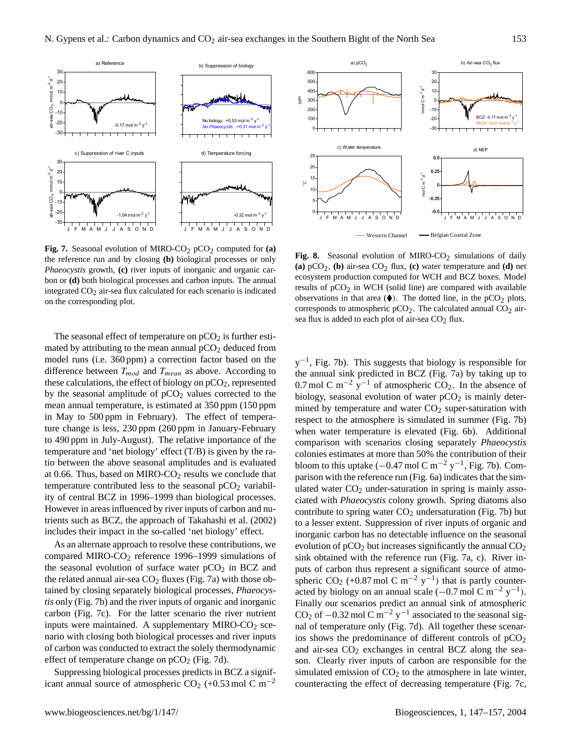

Fig. 7. Seasonal evolution of MIRO-CO<sub>2</sub> pCO<sub>2</sub> computed for **(a)** the reference run and by closing **(b)** biological processes or only *Phaeocystis* growth, **(c)** river inputs of inorganic and organic carbon or **(d)** both biological processes and carbon inputs. The annual integrated  $CO<sub>2</sub>$  air-sea flux calculated for each scenario is indicated on the corresponding plot.

The seasonal effect of temperature on  $pCO<sub>2</sub>$  is further estimated by attributing to the mean annual  $pCO<sub>2</sub>$  deduced from model runs (i.e. 360 ppm) a correction factor based on the difference between  $T_{mod}$  and  $T_{mean}$  as above. According to these calculations, the effect of biology on  $pCO<sub>2</sub>$ , represented by the seasonal amplitude of  $pCO<sub>2</sub>$  values corrected to the mean annual temperature, is estimated at 350 ppm (150 ppm in May to 500 ppm in February). The effect of temperature change is less, 230 ppm (260 ppm in January-February to 490 ppm in July-August). The relative importance of the temperature and 'net biology' effect (T/B) is given by the ratio between the above seasonal amplitudes and is evaluated at 0.66. Thus, based on MIRO- $CO<sub>2</sub>$  results we conclude that temperature contributed less to the seasonal  $pCO<sub>2</sub>$  variability of central BCZ in 1996–1999 than biological processes. However in areas influenced by river inputs of carbon and nutrients such as BCZ, the approach of Takahashi et al. (2002) includes their impact in the so-called 'net biology' effect.

As an alternate approach to resolve these contributions, we compared MIRO-CO<sup>2</sup> reference 1996–1999 simulations of the seasonal evolution of surface water  $pCO<sub>2</sub>$  in BCZ and the related annual air-sea  $CO<sub>2</sub>$  fluxes (Fig. 7a) with those obtained by closing separately biological processes, *Phaeocystis* only (Fig. 7b) and the river inputs of organic and inorganic carbon (Fig. 7c). For the latter scenario the river nutrient inputs were maintained. A supplementary MIRO- $CO<sub>2</sub>$  scenario with closing both biological processes and river inputs of carbon was conducted to extract the solely thermodynamic effect of temperature change on  $pCO_2$  (Fig. 7d).

Suppressing biological processes predicts in BCZ a significant annual source of atmospheric CO<sub>2</sub> (+0.53 mol C m<sup>-2</sup>



Fig. 8. Seasonal evolution of MIRO-CO<sub>2</sub> simulations of daily **(a)**  $pCO_2$ , **(b)** air-sea  $CO_2$  flux, **(c)** water temperature and **(d)** net ecosystem production computed for WCH and BCZ boxes. Model results of  $pCO<sub>2</sub>$  in WCH (solid line) are compared with available observations in that area  $(\blacklozenge)$ . The dotted line, in the pCO<sub>2</sub> plots, corresponds to atmospheric  $pCO<sub>2</sub>$ . The calculated annual  $CO<sub>2</sub>$  airsea flux is added to each plot of air-sea  $CO<sub>2</sub>$  flux.

 $y^{-1}$ , Fig. 7b). This suggests that biology is responsible for the annual sink predicted in BCZ (Fig. 7a) by taking up to 0.7 mol C m<sup>-2</sup> y<sup>-1</sup> of atmospheric CO<sub>2</sub>. In the absence of biology, seasonal evolution of water  $pCO<sub>2</sub>$  is mainly determined by temperature and water  $CO<sub>2</sub>$  super-saturation with respect to the atmosphere is simulated in summer (Fig. 7b) when water temperature is elevated (Fig. 6b). Additional comparison with scenarios closing separately *Phaeocystis* colonies estimates at more than 50% the contribution of their bloom to this uptake ( $-0.47$  mol C m<sup>-2</sup> y<sup>-1</sup>, Fig. 7b). Comparison with the reference run (Fig. 6a) indicates that the simulated water  $CO<sub>2</sub>$  under-saturation in spring is mainly associated with *Phaeocystis* colony growth. Spring diatoms also contribute to spring water  $CO<sub>2</sub>$  undersaturation (Fig. 7b) but to a lesser extent. Suppression of river inputs of organic and inorganic carbon has no detectable influence on the seasonal evolution of  $pCO_2$  but increases significantly the annual  $CO_2$ sink obtained with the reference run (Fig. 7a, c). River inputs of carbon thus represent a significant source of atmospheric CO<sub>2</sub> (+0.87 mol C m<sup>-2</sup> y<sup>-1</sup>) that is partly counteracted by biology on an annual scale  $(-0.7 \text{ mol C m}^{-2} \text{ y}^{-1})$ . Finally our scenarios predict an annual sink of atmospheric CO<sub>2</sub> of  $-0.32$  mol C m<sup>-2</sup> y<sup>-1</sup> associated to the seasonal signal of temperature only (Fig. 7d). All together these scenarios shows the predominance of different controls of  $pCO<sub>2</sub>$ and air-sea  $CO<sub>2</sub>$  exchanges in central BCZ along the season. Clearly river inputs of carbon are responsible for the simulated emission of  $CO<sub>2</sub>$  to the atmosphere in late winter, counteracting the effect of decreasing temperature (Fig. 7c,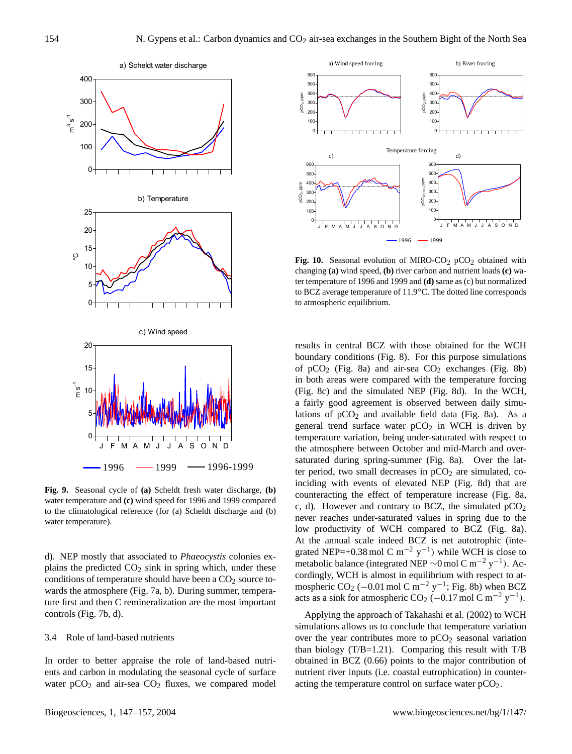

**Fig. 9.** Seasonal cycle of **(a)** Scheldt fresh water discharge, **(b)** water temperature and **(c)** wind speed for 1996 and 1999 compared to the climatological reference (for (a) Scheldt discharge and (b) water temperature).

d). NEP mostly that associated to *Phaeocystis* colonies explains the predicted  $CO<sub>2</sub>$  sink in spring which, under these conditions of temperature should have been a  $CO<sub>2</sub>$  source towards the atmosphere (Fig. 7a, b). During summer, temperature first and then C remineralization are the most important controls (Fig. 7b, d).

#### 3.4 Role of land-based nutrients

In order to better appraise the role of land-based nutrients and carbon in modulating the seasonal cycle of surface water  $pCO<sub>2</sub>$  and air-sea  $CO<sub>2</sub>$  fluxes, we compared model



Fig. 10. Seasonal evolution of MIRO-CO<sub>2</sub> pCO<sub>2</sub> obtained with changing **(a)** wind speed, **(b)** river carbon and nutrient loads **(c)** water temperature of 1996 and 1999 and **(d)** same as (c) but normalized to BCZ average temperature of 11.9◦C. The dotted line corresponds to atmospheric equilibrium.

results in central BCZ with those obtained for the WCH boundary conditions (Fig. 8). For this purpose simulations of  $pCO_2$  (Fig. 8a) and air-sea  $CO_2$  exchanges (Fig. 8b) in both areas were compared with the temperature forcing (Fig. 8c) and the simulated NEP (Fig. 8d). In the WCH, a fairly good agreement is observed between daily simulations of  $pCO<sub>2</sub>$  and available field data (Fig. 8a). As a general trend surface water  $pCO<sub>2</sub>$  in WCH is driven by temperature variation, being under-saturated with respect to the atmosphere between October and mid-March and oversaturated during spring-summer (Fig. 8a). Over the latter period, two small decreases in  $pCO<sub>2</sub>$  are simulated, coinciding with events of elevated NEP (Fig. 8d) that are counteracting the effect of temperature increase (Fig. 8a, c, d). However and contrary to BCZ, the simulated  $pCO<sub>2</sub>$ never reaches under-saturated values in spring due to the low productivity of WCH compared to BCZ (Fig. 8a). At the annual scale indeed BCZ is net autotrophic (integrated NEP=+0.38 mol C m<sup>-2</sup> y<sup>-1</sup>) while WCH is close to metabolic balance (integrated NEP ~0 mol C m<sup>-2</sup> y<sup>-1</sup>). Accordingly, WCH is almost in equilibrium with respect to atmospheric CO<sub>2</sub> (-0.01 mol C m<sup>-2</sup> y<sup>-1</sup>; Fig. 8b) when BCZ acts as a sink for atmospheric CO<sub>2</sub> (-0.17 mol C m<sup>-2</sup> y<sup>-1</sup>).

Applying the approach of Takahashi et al. (2002) to WCH simulations allows us to conclude that temperature variation over the year contributes more to  $pCO<sub>2</sub>$  seasonal variation than biology (T/B=1.21). Comparing this result with T/B obtained in BCZ (0.66) points to the major contribution of nutrient river inputs (i.e. coastal eutrophication) in counteracting the temperature control on surface water  $pCO<sub>2</sub>$ .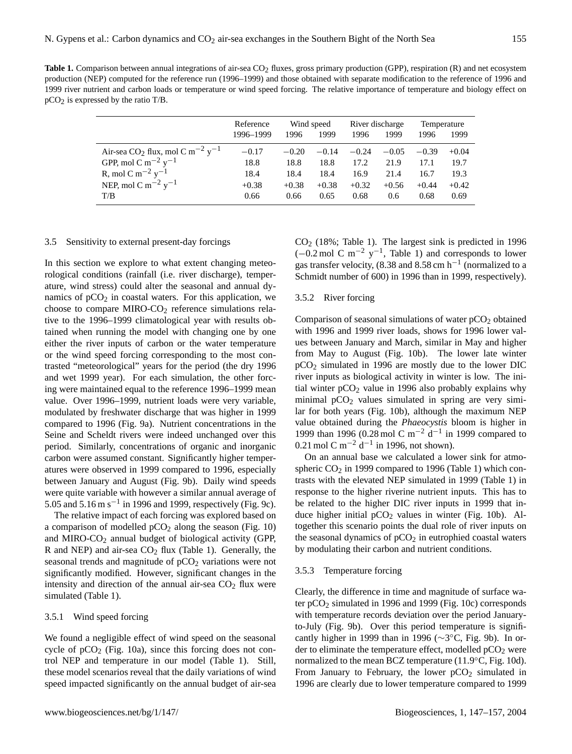|                                                                     | Reference<br>1996-1999 | 1996    | Wind speed<br>1999 | 1996    | River discharge<br>1999 | Temperature<br>1996 | 1999    |
|---------------------------------------------------------------------|------------------------|---------|--------------------|---------|-------------------------|---------------------|---------|
| Air-sea CO <sub>2</sub> flux, mol C m <sup>-2</sup> y <sup>-1</sup> | $-0.17$                | $-0.20$ | $-0.14$            | $-0.24$ | $-0.05$                 | $-0.39$             | $+0.04$ |
| GPP, mol C m <sup>-2</sup> y <sup>-1</sup>                          | 18.8                   | 18.8    | 18.8               | 17.2    | 21.9                    | 17.1                | 19.7    |
| R, mol C m <sup><math>-2</math></sup> y <sup><math>-1</math></sup>  | 18.4                   | 18.4    | 18.4               | 16.9    | 21.4                    | 16.7                | 19.3    |
| NEP, mol C m <sup>-2</sup> y <sup>-1</sup>                          | $+0.38$                | $+0.38$ | $+0.38$            | $+0.32$ | $+0.56$                 | $+0.44$             | $+0.42$ |
| T/B                                                                 | 0.66                   | 0.66    | 0.65               | 0.68    | 0.6                     | 0.68                | 0.69    |

# 3.5 Sensitivity to external present-day forcings

In this section we explore to what extent changing meteorological conditions (rainfall (i.e. river discharge), temperature, wind stress) could alter the seasonal and annual dynamics of  $pCO<sub>2</sub>$  in coastal waters. For this application, we choose to compare MIRO- $CO<sub>2</sub>$  reference simulations relative to the 1996–1999 climatological year with results obtained when running the model with changing one by one either the river inputs of carbon or the water temperature or the wind speed forcing corresponding to the most contrasted "meteorological" years for the period (the dry 1996 and wet 1999 year). For each simulation, the other forcing were maintained equal to the reference 1996–1999 mean value. Over 1996–1999, nutrient loads were very variable, modulated by freshwater discharge that was higher in 1999 compared to 1996 (Fig. 9a). Nutrient concentrations in the Seine and Scheldt rivers were indeed unchanged over this period. Similarly, concentrations of organic and inorganic carbon were assumed constant. Significantly higher temperatures were observed in 1999 compared to 1996, especially between January and August (Fig. 9b). Daily wind speeds were quite variable with however a similar annual average of 5.05 and 5.16 m s<sup>-1</sup> in 1996 and 1999, respectively (Fig. 9c).

The relative impact of each forcing was explored based on a comparison of modelled  $pCO<sub>2</sub>$  along the season (Fig. 10) and MIRO-CO<sub>2</sub> annual budget of biological activity (GPP, R and NEP) and air-sea  $CO<sub>2</sub>$  flux (Table 1). Generally, the seasonal trends and magnitude of  $pCO<sub>2</sub>$  variations were not significantly modified. However, significant changes in the intensity and direction of the annual air-sea  $CO<sub>2</sub>$  flux were simulated (Table 1).

#### 3.5.1 Wind speed forcing

We found a negligible effect of wind speed on the seasonal cycle of  $pCO<sub>2</sub>$  (Fig. 10a), since this forcing does not control NEP and temperature in our model (Table 1). Still, these model scenarios reveal that the daily variations of wind speed impacted significantly on the annual budget of air-sea  $CO<sub>2</sub>$  (18%; Table 1). The largest sink is predicted in 1996  $(-0.2 \text{ mol C m}^{-2} \text{ y}^{-1}$ , Table 1) and corresponds to lower gas transfer velocity, (8.38 and 8.58 cm  $h^{-1}$  (normalized to a Schmidt number of 600) in 1996 than in 1999, respectively).

# 3.5.2 River forcing

Comparison of seasonal simulations of water  $pCO<sub>2</sub>$  obtained with 1996 and 1999 river loads, shows for 1996 lower values between January and March, similar in May and higher from May to August (Fig. 10b). The lower late winter pCO<sup>2</sup> simulated in 1996 are mostly due to the lower DIC river inputs as biological activity in winter is low. The initial winter  $pCO<sub>2</sub>$  value in 1996 also probably explains why minimal  $pCO<sub>2</sub>$  values simulated in spring are very similar for both years (Fig. 10b), although the maximum NEP value obtained during the *Phaeocystis* bloom is higher in 1999 than 1996 (0.28 mol C m<sup>-2</sup> d<sup>-1</sup> in 1999 compared to 0.21 mol C m<sup>-2</sup> d<sup>-1</sup> in 1996, not shown).

On an annual base we calculated a lower sink for atmospheric  $CO<sub>2</sub>$  in 1999 compared to 1996 (Table 1) which contrasts with the elevated NEP simulated in 1999 (Table 1) in response to the higher riverine nutrient inputs. This has to be related to the higher DIC river inputs in 1999 that induce higher initial  $pCO<sub>2</sub>$  values in winter (Fig. 10b). Altogether this scenario points the dual role of river inputs on the seasonal dynamics of  $pCO<sub>2</sub>$  in eutrophied coastal waters by modulating their carbon and nutrient conditions.

# 3.5.3 Temperature forcing

Clearly, the difference in time and magnitude of surface water  $pCO<sub>2</sub>$  simulated in 1996 and 1999 (Fig. 10c) corresponds with temperature records deviation over the period Januaryto-July (Fig. 9b). Over this period temperature is significantly higher in 1999 than in 1996 (~3°C, Fig. 9b). In order to eliminate the temperature effect, modelled  $pCO<sub>2</sub>$  were normalized to the mean BCZ temperature (11.9<sup>○</sup>C, Fig. 10d). From January to February, the lower  $pCO<sub>2</sub>$  simulated in 1996 are clearly due to lower temperature compared to 1999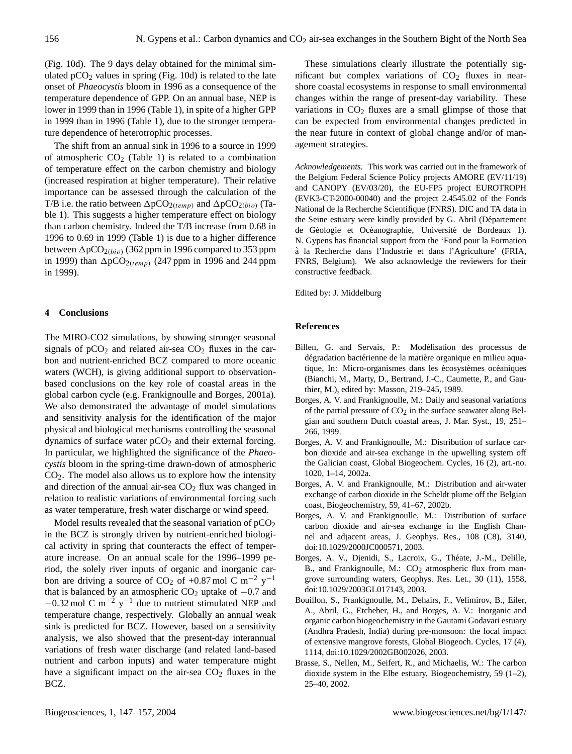(Fig. 10d). The 9 days delay obtained for the minimal simulated  $pCO<sub>2</sub>$  values in spring (Fig. 10d) is related to the late onset of *Phaeocystis* bloom in 1996 as a consequence of the temperature dependence of GPP. On an annual base, NEP is lower in 1999 than in 1996 (Table 1), in spite of a higher GPP in 1999 than in 1996 (Table 1), due to the stronger temperature dependence of heterotrophic processes.

The shift from an annual sink in 1996 to a source in 1999 of atmospheric  $CO<sub>2</sub>$  (Table 1) is related to a combination of temperature effect on the carbon chemistry and biology (increased respiration at higher temperature). Their relative importance can be assessed through the calculation of the T/B i.e. the ratio between  $\Delta p CO_{2(temp)}$  and  $\Delta p CO_{2(bio)}$  (Table 1). This suggests a higher temperature effect on biology than carbon chemistry. Indeed the T/B increase from 0.68 in 1996 to 0.69 in 1999 (Table 1) is due to a higher difference between  $\Delta p CO_{2(bio)}$  (362 ppm in 1996 compared to 353 ppm in 1999) than  $\Delta p CO_{2(temp)}$  (247 ppm in 1996 and 244 ppm in 1999).

# **4 Conclusions**

The MIRO-CO2 simulations, by showing stronger seasonal signals of  $pCO<sub>2</sub>$  and related air-sea  $CO<sub>2</sub>$  fluxes in the carbon and nutrient-enriched BCZ compared to more oceanic waters (WCH), is giving additional support to observationbased conclusions on the key role of coastal areas in the global carbon cycle (e.g. Frankignoulle and Borges, 2001a). We also demonstrated the advantage of model simulations and sensitivity analysis for the identification of the major physical and biological mechanisms controlling the seasonal dynamics of surface water  $pCO<sub>2</sub>$  and their external forcing. In particular, we highlighted the significance of the *Phaeocystis* bloom in the spring-time drawn-down of atmospheric  $CO<sub>2</sub>$ . The model also allows us to explore how the intensity and direction of the annual air-sea  $CO<sub>2</sub>$  flux was changed in relation to realistic variations of environmental forcing such as water temperature, fresh water discharge or wind speed.

Model results revealed that the seasonal variation of pCO<sub>2</sub> in the BCZ is strongly driven by nutrient-enriched biological activity in spring that counteracts the effect of temperature increase. On an annual scale for the 1996–1999 period, the solely river inputs of organic and inorganic carbon are driving a source of CO<sub>2</sub> of +0.87 mol C m<sup>-2</sup> y<sup>-1</sup> that is balanced by an atmospheric  $CO<sub>2</sub>$  uptake of  $-0.7$  and  $-0.32$  mol C m<sup>-2</sup> y<sup>-1</sup> due to nutrient stimulated NEP and temperature change, respectively. Globally an annual weak sink is predicted for BCZ. However, based on a sensitivity analysis, we also showed that the present-day interannual variations of fresh water discharge (and related land-based nutrient and carbon inputs) and water temperature might have a significant impact on the air-sea  $CO<sub>2</sub>$  fluxes in the BCZ.

These simulations clearly illustrate the potentially significant but complex variations of  $CO<sub>2</sub>$  fluxes in nearshore coastal ecosystems in response to small environmental changes within the range of present-day variability. These variations in  $CO<sub>2</sub>$  fluxes are a small glimpse of those that can be expected from environmental changes predicted in the near future in context of global change and/or of management strategies.

*Acknowledgements.* This work was carried out in the framework of the Belgium Federal Science Policy projects AMORE (EV/11/19) and CANOPY (EV/03/20), the EU-FP5 project EUROTROPH (EVK3-CT-2000-00040) and the project 2.4545.02 of the Fonds National de la Recherche Scientifique (FNRS). DIC and TA data in the Seine estuary were kindly provided by G. Abril (Département de Géologie et Océanographie, Université de Bordeaux 1). N. Gypens has financial support from the 'Fond pour la Formation a la Recherche dans l'Industrie et dans l'Agriculture' (FRIA, ` FNRS, Belgium). We also acknowledge the reviewers for their constructive feedback.

Edited by: J. Middelburg

## **References**

- Billen, G. and Servais, P.: Modélisation des processus de dégradation bactérienne de la matière organique en milieu aquatique, In: Micro-organismes dans les écosystèmes océaniques (Bianchi, M., Marty, D., Bertrand, J.-C., Caumette, P., and Gauthier, M.), edited by: Masson, 219–245, 1989.
- Borges, A. V. and Frankignoulle, M.: Daily and seasonal variations of the partial pressure of  $CO<sub>2</sub>$  in the surface seawater along Belgian and southern Dutch coastal areas, J. Mar. Syst., 19, 251– 266, 1999.
- Borges, A. V. and Frankignoulle, M.: Distribution of surface carbon dioxide and air-sea exchange in the upwelling system off the Galician coast, Global Biogeochem. Cycles, 16 (2), art.-no. 1020, 1–14, 2002a.
- Borges, A. V. and Frankignoulle, M.: Distribution and air-water exchange of carbon dioxide in the Scheldt plume off the Belgian coast, Biogeochemistry, 59, 41–67, 2002b.
- Borges, A. V. and Frankignoulle, M.: Distribution of surface carbon dioxide and air-sea exchange in the English Channel and adjacent areas, J. Geophys. Res., 108 (C8), 3140, doi:10.1029/2000JC000571, 2003.
- Borges, A. V., Djenidi, S., Lacroix, G., Théate, J.-M., Delille, B., and Frankignoulle, M.:  $CO<sub>2</sub>$  atmospheric flux from mangrove surrounding waters, Geophys. Res. Let., 30 (11), 1558, doi:10.1029/2003GL017143, 2003.
- Bouillon, S., Frankignoulle, M., Dehairs, F., Velimirov, B., Eiler, A., Abril, G., Etcheber, H., and Borges, A. V.: Inorganic and organic carbon biogeochemistry in the Gautami Godavari estuary (Andhra Pradesh, India) during pre-monsoon: the local impact of extensive mangrove forests, Global Biogeoch. Cycles, 17 (4), 1114, doi:10.1029/2002GB002026, 2003.
- Brasse, S., Nellen, M., Seifert, R., and Michaelis, W.: The carbon dioxide system in the Elbe estuary, Biogeochemistry, 59 (1–2), 25–40, 2002.